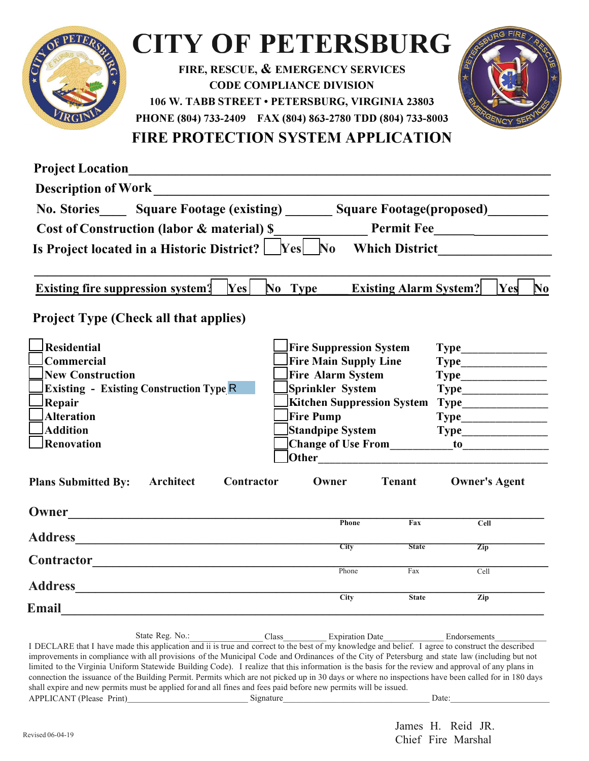

## **CITY OF PETERSBURG**

**FIRE, RESCUE, & EMERGENCY SERVICES CODE COMPLIANCE DIVISION 106 W. TABB STREET • PETERSBURG, VIRGINIA 23803 PHONE (804) 733-2409 FAX (804) 863-2780 TDD (804) 733-8003**



**FIRE PROTECTION SYSTEM APPLICATION** 

| No. Stories Square Footage (existing) ______                   |                           |                                                                                                                                                                                       |                                                                                                  |                                                                                                                                                                                                           |
|----------------------------------------------------------------|---------------------------|---------------------------------------------------------------------------------------------------------------------------------------------------------------------------------------|--------------------------------------------------------------------------------------------------|-----------------------------------------------------------------------------------------------------------------------------------------------------------------------------------------------------------|
| Cost of Construction (labor & material) \$                     |                           |                                                                                                                                                                                       |                                                                                                  |                                                                                                                                                                                                           |
|                                                                |                           |                                                                                                                                                                                       |                                                                                                  |                                                                                                                                                                                                           |
| No Type                                                        |                           |                                                                                                                                                                                       | Yes                                                                                              | $\bf No$                                                                                                                                                                                                  |
|                                                                |                           |                                                                                                                                                                                       |                                                                                                  |                                                                                                                                                                                                           |
| <b>Fire Suppression System</b><br><b>Fire Main Supply Line</b> |                           |                                                                                                                                                                                       |                                                                                                  |                                                                                                                                                                                                           |
|                                                                |                           |                                                                                                                                                                                       |                                                                                                  |                                                                                                                                                                                                           |
|                                                                |                           |                                                                                                                                                                                       |                                                                                                  |                                                                                                                                                                                                           |
|                                                                |                           |                                                                                                                                                                                       |                                                                                                  |                                                                                                                                                                                                           |
|                                                                |                           |                                                                                                                                                                                       |                                                                                                  |                                                                                                                                                                                                           |
|                                                                |                           |                                                                                                                                                                                       |                                                                                                  |                                                                                                                                                                                                           |
|                                                                |                           |                                                                                                                                                                                       |                                                                                                  |                                                                                                                                                                                                           |
| Contractor                                                     |                           |                                                                                                                                                                                       |                                                                                                  |                                                                                                                                                                                                           |
|                                                                |                           |                                                                                                                                                                                       |                                                                                                  |                                                                                                                                                                                                           |
|                                                                |                           |                                                                                                                                                                                       |                                                                                                  |                                                                                                                                                                                                           |
|                                                                |                           |                                                                                                                                                                                       | Zip                                                                                              |                                                                                                                                                                                                           |
|                                                                |                           |                                                                                                                                                                                       | Cell                                                                                             |                                                                                                                                                                                                           |
|                                                                |                           |                                                                                                                                                                                       |                                                                                                  |                                                                                                                                                                                                           |
|                                                                |                           |                                                                                                                                                                                       |                                                                                                  |                                                                                                                                                                                                           |
|                                                                | <b>Fire Pump</b><br>Owner | Is Project located in a Historic District? $\Box$ Yes $\Box$ No<br><b>Fire Alarm System</b><br>Sprinkler System<br>Standpipe System<br>Owner<br>Phone<br><b>City</b><br>Phone<br>City | <b>Kitchen Suppression System</b><br><b>Tenant</b><br>Fax<br><b>State</b><br>Fax<br><b>State</b> | Square Footage(proposed)<br>Which District <b>Exercise 2018</b><br><b>Existing Alarm System?</b><br>$\textbf{Type}\_\_\_\_\_\_\_$<br><b>Owner's Agent</b><br>$\overline{\text{Cell}}$<br>$\overline{Zip}$ |

State Reg. No.: <br>
Class Expiration Date Endorsements I DECLARE that I have made this application and ii is true and correct to the best of my knowledge and belief. I agree to construct the described improvements in compliance with all provisions of the Municipal Code and Ordinances of the City of Petersburg and state law (including but not limited to the Virginia Uniform Statewide Building Code). I realize that this information is the basis for the review and approval of any plans in connection the issuance of the Building Permit. Permits which are not picked up in 30 days or where no inspections have been called for in 180 days shall expire and new permits must be applied for and all fines and fees paid before new permits will be issued. APPLICANT (Please Print)  $Signature$  Date: